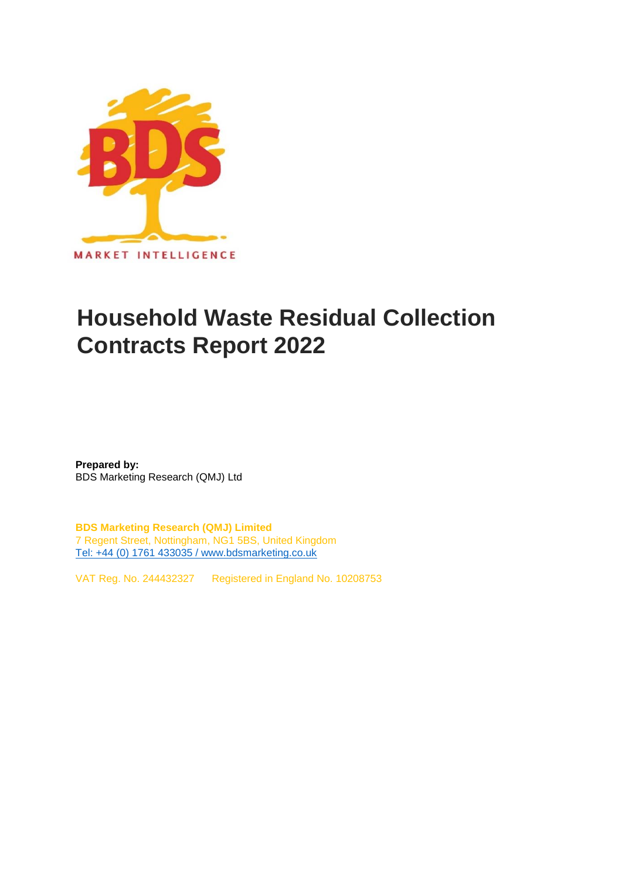

## **Household Waste Residual Collection Contracts Report 2022**

**Prepared by:** BDS Marketing Research (QMJ) Ltd

**BDS Marketing Research (QMJ) Limited** 7 Regent Street, Nottingham, NG1 5BS, United Kingdom [Tel: +44 \(0\) 1761 433035 / www.bdsmarketing.co.uk](http://www.bdsmarketing.co.uk/)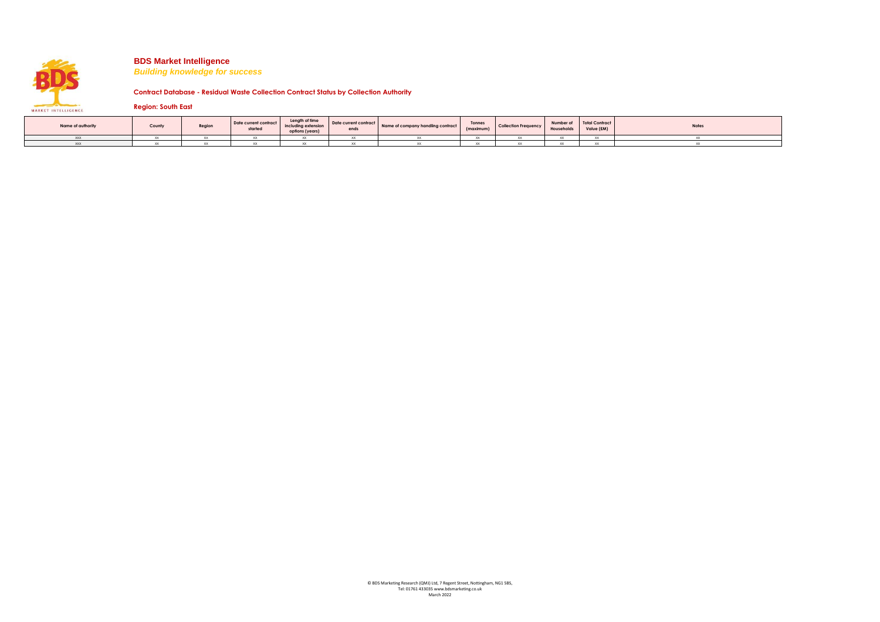

*Building knowledge for success*

**Contract Database - Residual Waste Collection Contract Status by Collection Authority**

**Region: South East**

| Name of authority | County | Region | Date current contract<br>started | Length of time<br>including extension<br>options (years) | Date current contract<br>ends | Name of company handling contract | <b>Tonnes</b><br>(maximum) | <b>Collection Frequency</b> | Households | Number of Total Contract<br>Value (£M) | <b>Notes</b> |
|-------------------|--------|--------|----------------------------------|----------------------------------------------------------|-------------------------------|-----------------------------------|----------------------------|-----------------------------|------------|----------------------------------------|--------------|
| <b>XXX</b>        |        |        |                                  |                                                          |                               |                                   |                            |                             |            |                                        |              |
| <b>XXX</b>        |        |        |                                  |                                                          |                               |                                   |                            |                             |            |                                        |              |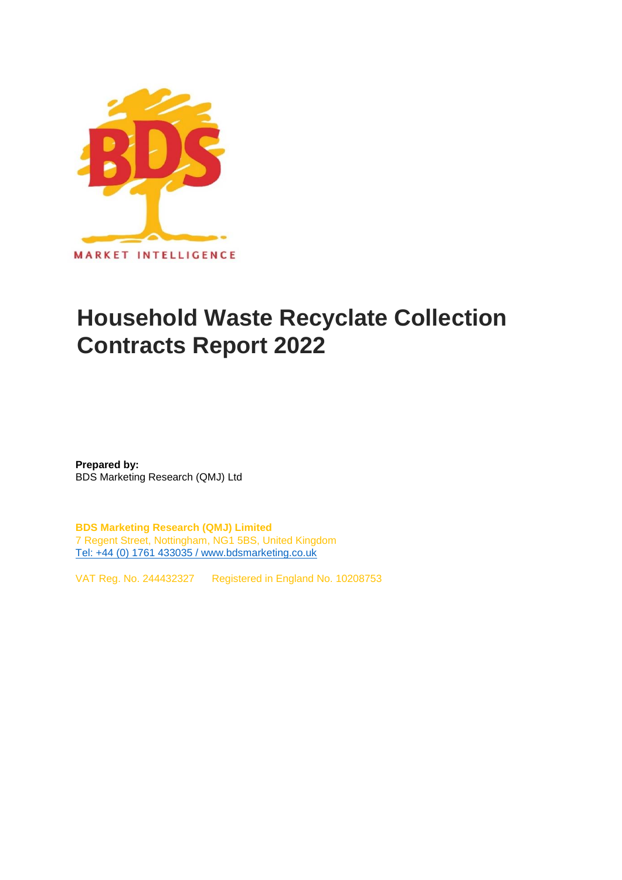

## **Household Waste Recyclate Collection Contracts Report 2022**

**Prepared by:** BDS Marketing Research (QMJ) Ltd

**BDS Marketing Research (QMJ) Limited** 7 Regent Street, Nottingham, NG1 5BS, United Kingdom [Tel: +44 \(0\) 1761 433035 / www.bdsmarketing.co.uk](http://www.bdsmarketing.co.uk/)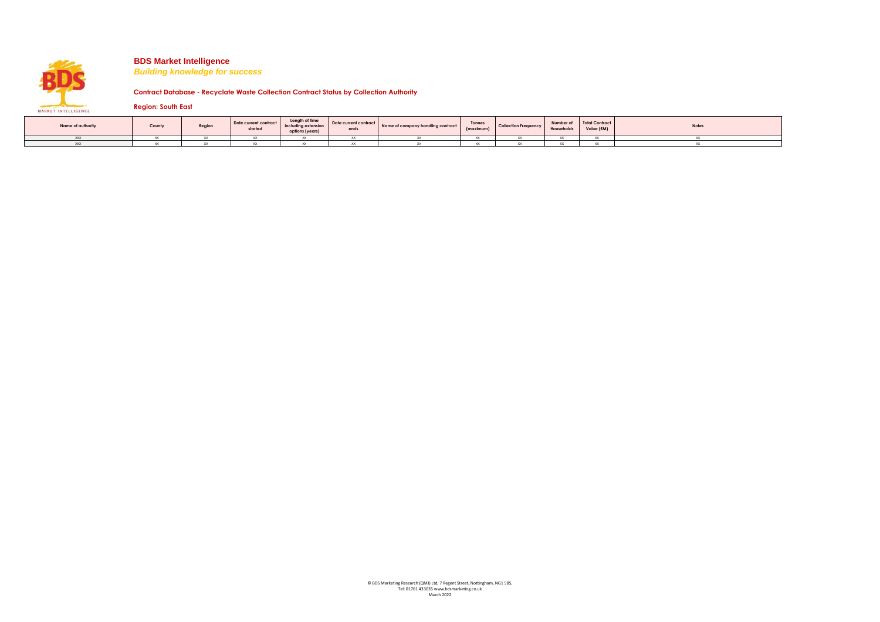

*Building knowledge for success*

**Contract Database - Recyclate Waste Collection Contract Status by Collection Authority**

**Region: South East**

| Name of authority | County | Region | Date current contract<br>started | Length of time<br>including extension<br>options (years) | Date current contract<br>ends | Name of company handling contract | Tonnes<br>(maximum) | <b>Collection Frequency</b> | Number of<br>Households | Total Contract<br>Value (£M) | <b>Notes</b> |
|-------------------|--------|--------|----------------------------------|----------------------------------------------------------|-------------------------------|-----------------------------------|---------------------|-----------------------------|-------------------------|------------------------------|--------------|
| <b>YYY</b>        |        |        |                                  |                                                          |                               |                                   |                     |                             |                         |                              |              |
| <b>YYY</b>        |        |        |                                  |                                                          |                               |                                   |                     |                             |                         |                              |              |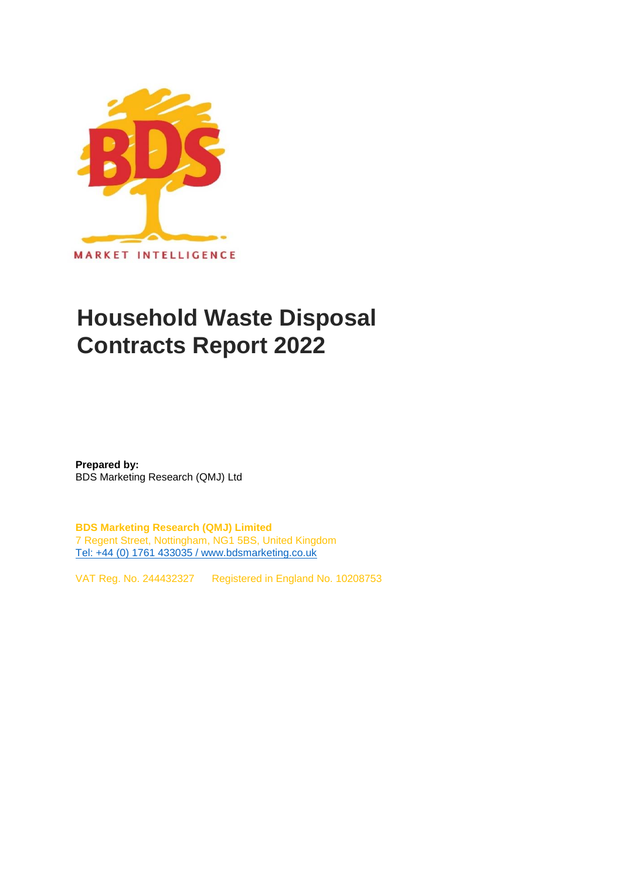

## **Household Waste Disposal Contracts Report 2022**

**Prepared by:** BDS Marketing Research (QMJ) Ltd

**BDS Marketing Research (QMJ) Limited** 7 Regent Street, Nottingham, NG1 5BS, United Kingdom [Tel: +44 \(0\) 1761 433035 / www.bdsmarketing.co.uk](http://www.bdsmarketing.co.uk/)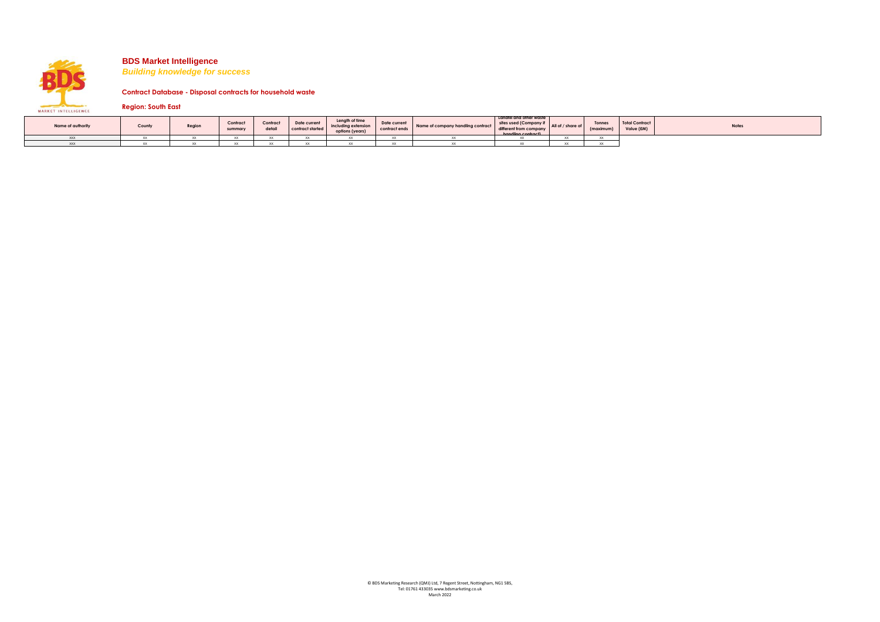*Building knowledge for success*

**Contract Database - Disposal contracts for household waste**

**Region: South East** MARKET INTELLIGENCE

| Name of authority | Count | Region | Contract<br>summary | Contract<br>detail | Date current<br>contract started | Length of time<br>including extension<br>options (years | Date current | Name of company handling contract different from company All UI / Silvie UI | Landfill and other waste<br>sites used (Company if<br>handling contract) | Tonnes<br>(maximum | Total Contract<br>Value (£M) | <b>Notes</b> |
|-------------------|-------|--------|---------------------|--------------------|----------------------------------|---------------------------------------------------------|--------------|-----------------------------------------------------------------------------|--------------------------------------------------------------------------|--------------------|------------------------------|--------------|
|                   |       |        |                     |                    |                                  |                                                         |              |                                                                             |                                                                          |                    |                              |              |
|                   |       |        |                     |                    |                                  |                                                         |              |                                                                             |                                                                          |                    |                              |              |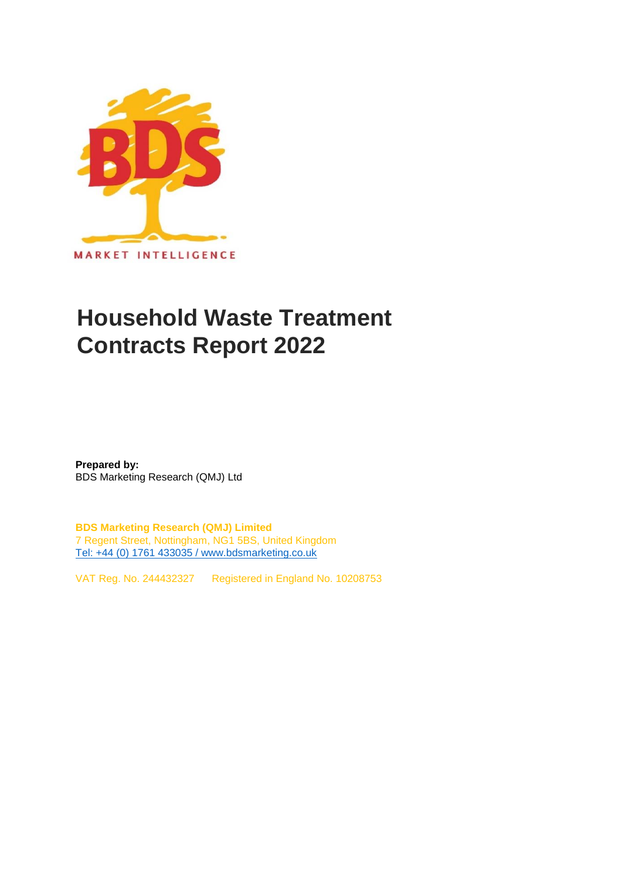

# **Household Waste Treatment Contracts Report 2022**

**Prepared by:** BDS Marketing Research (QMJ) Ltd

**BDS Marketing Research (QMJ) Limited** 7 Regent Street, Nottingham, NG1 5BS, United Kingdom [Tel: +44 \(0\) 1761 433035 / www.bdsmarketing.co.uk](http://www.bdsmarketing.co.uk/)